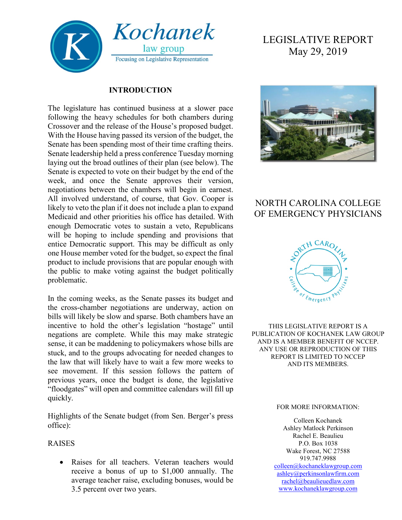

#### **INTRODUCTION**

The legislature has continued business at a slower pace following the heavy schedules for both chambers during Crossover and the release of the House's proposed budget. With the House having passed its version of the budget, the Senate has been spending most of their time crafting theirs. Senate leadership held a press conference Tuesday morning laying out the broad outlines of their plan (see below). The Senate is expected to vote on their budget by the end of the week, and once the Senate approves their version, negotiations between the chambers will begin in earnest. All involved understand, of course, that Gov. Cooper is likely to veto the plan if it does not include a plan to expand Medicaid and other priorities his office has detailed. With enough Democratic votes to sustain a veto, Republicans will be hoping to include spending and provisions that entice Democratic support. This may be difficult as only one House member voted for the budget, so expect the final product to include provisions that are popular enough with the public to make voting against the budget politically problematic.

In the coming weeks, as the Senate passes its budget and the cross-chamber negotiations are underway, action on bills will likely be slow and sparse. Both chambers have an incentive to hold the other's legislation "hostage" until negations are complete. While this may make strategic sense, it can be maddening to policymakers whose bills are stuck, and to the groups advocating for needed changes to the law that will likely have to wait a few more weeks to see movement. If this session follows the pattern of previous years, once the budget is done, the legislative "floodgates" will open and committee calendars will fill up quickly.

Highlights of the Senate budget (from Sen. Berger's press office):

#### RAISES

• Raises for all teachers. Veteran teachers would receive a bonus of up to \$1,000 annually. The average teacher raise, excluding bonuses, would be 3.5 percent over two years.

# LEGISLATIVE REPORT May 29, 2019



# NORTH CAROLINA COLLEGE OF EMERGENCY PHYSICIANS



THIS LEGISLATIVE REPORT IS A PUBLICATION OF KOCHANEK LAW GROUP AND IS A MEMBER BENEFIT OF NCCEP. ANY USE OR REPRODUCTION OF THIS REPORT IS LIMITED TO NCCEP AND ITS MEMBERS.

#### FOR MORE INFORMATION:

Colleen Kochanek Ashley Matlock Perkinson Rachel E. Beaulieu P.O. Box 1038 Wake Forest, NC 27588 919.747.9988 [colleen@kochaneklawgroup.com](mailto:colleen@kochaneklawgroup.com) [ashley@perkinsonlawfirm.com](mailto:ashley@perkinsonlawfirm.com) [rachel@beaulieuedlaw.com](mailto:rachel@beaulieuedlaw.com) [www.kochaneklawgroup.com](http://www.kochaneklawgroup.com/)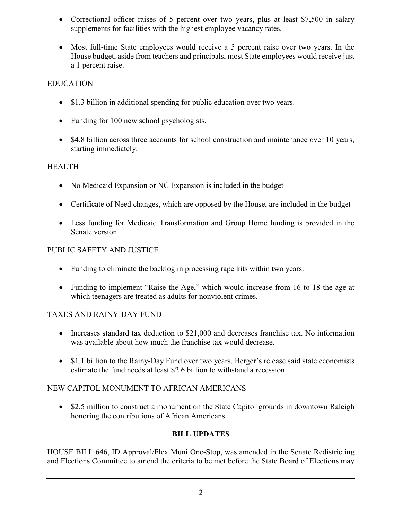- Correctional officer raises of 5 percent over two years, plus at least \$7,500 in salary supplements for facilities with the highest employee vacancy rates.
- Most full-time State employees would receive a 5 percent raise over two years. In the House budget, aside from teachers and principals, most State employees would receive just a 1 percent raise.

#### EDUCATION

- \$1.3 billion in additional spending for public education over two years.
- Funding for 100 new school psychologists.
- \$4.8 billion across three accounts for school construction and maintenance over 10 years, starting immediately.

#### HEALTH

- No Medicaid Expansion or NC Expansion is included in the budget
- Certificate of Need changes, which are opposed by the House, are included in the budget
- Less funding for Medicaid Transformation and Group Home funding is provided in the Senate version

#### PUBLIC SAFETY AND JUSTICE

- Funding to eliminate the backlog in processing rape kits within two years.
- Funding to implement "Raise the Age," which would increase from 16 to 18 the age at which teenagers are treated as adults for nonviolent crimes.

# TAXES AND RAINY-DAY FUND

- Increases standard tax deduction to \$21,000 and decreases franchise tax. No information was available about how much the franchise tax would decrease.
- \$1.1 billion to the Rainy-Day Fund over two years. Berger's release said state economists estimate the fund needs at least \$2.6 billion to withstand a recession.

# NEW CAPITOL MONUMENT TO AFRICAN AMERICANS

• \$2.5 million to construct a monument on the State Capitol grounds in downtown Raleigh honoring the contributions of African Americans.

#### **BILL UPDATES**

HOUSE BILL 646, ID Approval/Flex Muni One-Stop, was amended in the Senate Redistricting and Elections Committee to amend the criteria to be met before the State Board of Elections may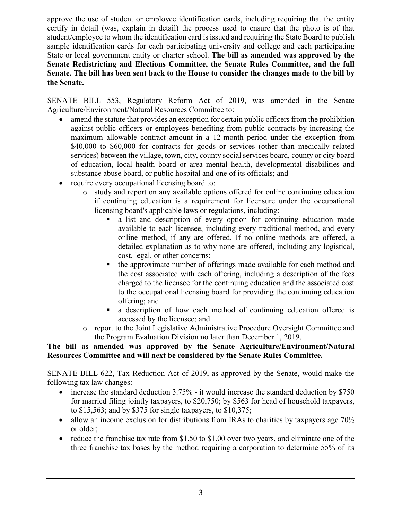approve the use of student or employee identification cards, including requiring that the entity certify in detail (was, explain in detail) the process used to ensure that the photo is of that student/employee to whom the identification card is issued and requiring the State Board to publish sample identification cards for each participating university and college and each participating State or local government entity or charter school. **The bill as amended was approved by the Senate Redistricting and Elections Committee, the Senate Rules Committee, and the full Senate. The bill has been sent back to the House to consider the changes made to the bill by the Senate.**

SENATE BILL 553, Regulatory Reform Act of 2019, was amended in the Senate Agriculture/Environment/Natural Resources Committee to:

- amend the statute that provides an exception for certain public officers from the prohibition against public officers or employees benefiting from public contracts by increasing the maximum allowable contract amount in a 12-month period under the exception from \$40,000 to \$60,000 for contracts for goods or services (other than medically related services) between the village, town, city, county social services board, county or city board of education, local health board or area mental health, developmental disabilities and substance abuse board, or public hospital and one of its officials; and
- require every occupational licensing board to:
	- o study and report on any available options offered for online continuing education if continuing education is a requirement for licensure under the occupational licensing board's applicable laws or regulations, including:
		- a list and description of every option for continuing education made available to each licensee, including every traditional method, and every online method, if any are offered. If no online methods are offered, a detailed explanation as to why none are offered, including any logistical, cost, legal, or other concerns;
		- the approximate number of offerings made available for each method and the cost associated with each offering, including a description of the fees charged to the licensee for the continuing education and the associated cost to the occupational licensing board for providing the continuing education offering; and
		- a description of how each method of continuing education offered is accessed by the licensee; and
	- o report to the Joint Legislative Administrative Procedure Oversight Committee and the Program Evaluation Division no later than December 1, 2019.

#### **The bill as amended was approved by the Senate Agriculture/Environment/Natural Resources Committee and will next be considered by the Senate Rules Committee.**

SENATE BILL 622, Tax Reduction Act of 2019, as approved by the Senate, would make the following tax law changes:

- increase the standard deduction 3.75% it would increase the standard deduction by \$750 for married filing jointly taxpayers, to \$20,750; by \$563 for head of household taxpayers, to \$15,563; and by \$375 for single taxpayers, to \$10,375;
- allow an income exclusion for distributions from IRAs to charities by taxpayers age  $70\frac{1}{2}$ or older;
- reduce the franchise tax rate from \$1.50 to \$1.00 over two years, and eliminate one of the three franchise tax bases by the method requiring a corporation to determine 55% of its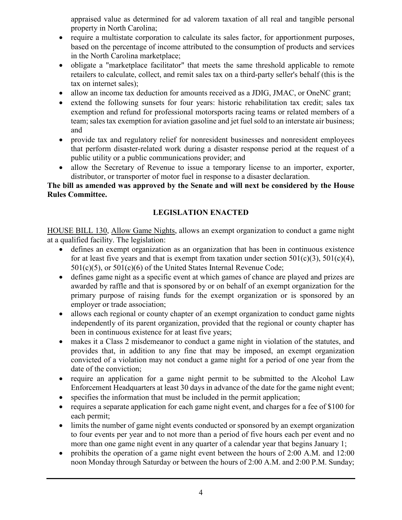appraised value as determined for ad valorem taxation of all real and tangible personal property in North Carolina;

- require a multistate corporation to calculate its sales factor, for apportionment purposes, based on the percentage of income attributed to the consumption of products and services in the North Carolina marketplace;
- obligate a "marketplace facilitator" that meets the same threshold applicable to remote retailers to calculate, collect, and remit sales tax on a third-party seller's behalf (this is the tax on internet sales);
- allow an income tax deduction for amounts received as a JDIG, JMAC, or OneNC grant;
- extend the following sunsets for four years: historic rehabilitation tax credit; sales tax exemption and refund for professional motorsports racing teams or related members of a team; sales tax exemption for aviation gasoline and jet fuel sold to an interstate air business; and
- provide tax and regulatory relief for nonresident businesses and nonresident employees that perform disaster-related work during a disaster response period at the request of a public utility or a public communications provider; and
- allow the Secretary of Revenue to issue a temporary license to an importer, exporter, distributor, or transporter of motor fuel in response to a disaster declaration.

#### **The bill as amended was approved by the Senate and will next be considered by the House Rules Committee.**

# **LEGISLATION ENACTED**

HOUSE BILL 130, Allow Game Nights, allows an exempt organization to conduct a game night at a qualified facility. The legislation:

- defines an exempt organization as an organization that has been in continuous existence for at least five years and that is exempt from taxation under section  $501(c)(3)$ ,  $501(c)(4)$ , 501(c)(5), or 501(c)(6) of the United States Internal Revenue Code;
- defines game night as a specific event at which games of chance are played and prizes are awarded by raffle and that is sponsored by or on behalf of an exempt organization for the primary purpose of raising funds for the exempt organization or is sponsored by an employer or trade association;
- allows each regional or county chapter of an exempt organization to conduct game nights independently of its parent organization, provided that the regional or county chapter has been in continuous existence for at least five years;
- makes it a Class 2 misdemeanor to conduct a game night in violation of the statutes, and provides that, in addition to any fine that may be imposed, an exempt organization convicted of a violation may not conduct a game night for a period of one year from the date of the conviction;
- require an application for a game night permit to be submitted to the Alcohol Law Enforcement Headquarters at least 30 days in advance of the date for the game night event;
- specifies the information that must be included in the permit application;
- requires a separate application for each game night event, and charges for a fee of \$100 for each permit;
- limits the number of game night events conducted or sponsored by an exempt organization to four events per year and to not more than a period of five hours each per event and no more than one game night event in any quarter of a calendar year that begins January 1;
- prohibits the operation of a game night event between the hours of 2:00 A.M. and 12:00 noon Monday through Saturday or between the hours of 2:00 A.M. and 2:00 P.M. Sunday;